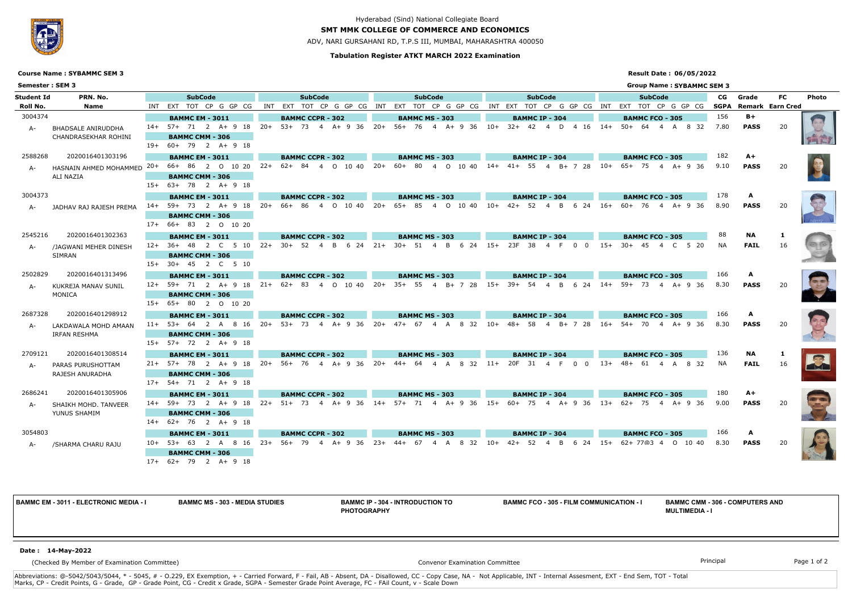### **Tabulation Register ATKT MARCH 2022 Examination**

# **SMT MMK COLLEGE OF COMMERCE AND ECONOMICS**

ADV, NARI GURSAHANI RD, T.P.S III, MUMBAI, MAHARASHTRA 400050

### **Result Date : 06/05/2022**



# Hyderabad (Sind) National Collegiate Board

|                        | <b>Course Name: SYBAMMC SEM 3</b>                            |                                                                                                                                                                                                                |       |                                       |                       |       |                                                                                    |                            |  |                                      |                            |       |                                        | <b>Result Date: 06/05/2022</b>   |      |                                       |           |               |
|------------------------|--------------------------------------------------------------|----------------------------------------------------------------------------------------------------------------------------------------------------------------------------------------------------------------|-------|---------------------------------------|-----------------------|-------|------------------------------------------------------------------------------------|----------------------------|--|--------------------------------------|----------------------------|-------|----------------------------------------|----------------------------------|------|---------------------------------------|-----------|---------------|
| Semester: SEM 3        |                                                              |                                                                                                                                                                                                                |       |                                       |                       |       |                                                                                    |                            |  |                                      |                            |       |                                        | <b>Group Name: SYBAMMC SEM 3</b> |      |                                       |           |               |
| Student Id<br>Roll No. | PRN. No.<br>Name                                             | <b>SubCode</b><br>INT EXT TOT CP G GP CG                                                                                                                                                                       | INT   | <b>SubCode</b><br>EXT                 |                       |       | <b>SubCode</b><br>TOT CP G GP CG INT EXT TOT CP G GP CG INT EXT TOT CP G GP CG INT |                            |  | <b>SubCode</b>                       |                            |       | EXT                                    | <b>SubCode</b><br>TOT CP G GP CG | CG   | Grade<br><b>SGPA Remark Earn Cred</b> | <b>FC</b> | <b>Photo</b>  |
| 3004374                |                                                              | <b>BAMMC EM - 3011</b>                                                                                                                                                                                         |       | <b>BAMMC CCPR - 302</b>               |                       |       | <b>BAMMC MS - 303</b>                                                              |                            |  | <b>BAMMC IP - 304</b>                |                            |       | <b>BAMMC FCO - 305</b>                 |                                  | 156  | $B+$                                  |           |               |
| A-                     | <b>BHADSALE ANIRUDDHA</b><br>CHANDRASEKHAR ROHINI            | 14+ 57+ 71 2 A+ 9 18 20+ 53+ 73 4 A+ 9 36 20+ 56+ 76 4 A+ 9 36 10+ 32+ 42 4 D 4 16 14+ 50+ 64 4 A 8 32                                                                                                         |       |                                       |                       |       |                                                                                    |                            |  |                                      |                            |       |                                        |                                  | 7.80 | <b>PASS</b>                           | 20        |               |
|                        |                                                              | <b>BAMMC CMM - 306</b>                                                                                                                                                                                         |       |                                       |                       |       |                                                                                    |                            |  |                                      |                            |       |                                        |                                  |      |                                       |           |               |
|                        |                                                              | 19+ 60+ 79 2 A+ 9 18                                                                                                                                                                                           |       |                                       |                       |       |                                                                                    |                            |  |                                      |                            |       |                                        |                                  |      |                                       |           |               |
| 2588268                | 2020016401303196                                             | <b>BAMMC EM - 3011</b>                                                                                                                                                                                         |       | <b>BAMMC CCPR - 302</b>               |                       |       | <b>BAMMC MS - 303</b>                                                              |                            |  | <b>BAMMC IP - 304</b>                |                            |       | <b>BAMMC FCO - 305</b>                 |                                  | 182  | A+                                    |           |               |
| A-                     | HASNAIN AHMED MOHAMMED 20+ 66+ 86 2 0 10 20 22+<br>ALI NAZIA |                                                                                                                                                                                                                |       |                                       | $62+84$ 4 0 10 40 20+ |       | 60+ 80 4 0 10 40 14+ 41+ 55 4 B+ 7 28 10+                                          |                            |  |                                      |                            |       |                                        | $65+ 75 + 4 + 936$               | 9.10 | <b>PASS</b>                           | 20        |               |
|                        |                                                              | <b>BAMMC CMM - 306</b>                                                                                                                                                                                         |       |                                       |                       |       |                                                                                    |                            |  |                                      |                            |       |                                        |                                  |      |                                       |           |               |
|                        |                                                              | 15+ 63+ 78 2 A+ 9 18                                                                                                                                                                                           |       |                                       |                       |       |                                                                                    |                            |  |                                      |                            |       |                                        |                                  |      |                                       |           |               |
| 3004373                |                                                              | <b>BAMMC EM - 3011</b>                                                                                                                                                                                         |       | <b>BAMMC CCPR - 302</b>               |                       |       | <b>BAMMC MS - 303</b>                                                              |                            |  | <b>BAMMC IP - 304</b>                |                            |       | <b>BAMMC FCO - 305</b>                 |                                  | 178  | A                                     |           |               |
|                        | JADHAV RAJ RAJESH PREMA                                      | 14+ 59+ 73 2 A+ 9 18                                                                                                                                                                                           | -20+  |                                       | 66+ 86 4 0 10 40 20+  |       | 65+ 85  4  0  10  40  10+  42+  52  4  B  6  24  16+  60+  76  4  A+  9  36        |                            |  |                                      |                            |       |                                        |                                  | 8.90 | <b>PASS</b>                           | 20        |               |
|                        |                                                              | <b>BAMMC CMM - 306</b><br>17+ 66+ 83 2 0 10 20                                                                                                                                                                 |       |                                       |                       |       |                                                                                    |                            |  |                                      |                            |       |                                        |                                  |      |                                       |           |               |
| 2545216                | 2020016401302363                                             |                                                                                                                                                                                                                |       |                                       |                       |       |                                                                                    |                            |  |                                      |                            |       |                                        |                                  | 88   | <b>NA</b>                             |           |               |
|                        |                                                              | <b>BAMMC EM - 3011</b><br>12+ 36+ 48 2 C 5 10                                                                                                                                                                  | $22+$ | <b>BAMMC CCPR - 302</b><br>$30+ 52 4$ | 6 24<br>B             | $21+$ | <b>BAMMC MS - 303</b><br>$30 + 51$<br>$\overline{4}$                               | $6\quad 24\quad 15+$<br>B. |  | <b>BAMMC IP - 304</b><br>23F<br>- 38 | $\overline{0}$<br>$\Omega$ | $15+$ | <b>BAMMC FCO - 305</b><br>$30+$<br>-45 | C 5 20                           | NA.  | <b>FAIL</b>                           | 16        |               |
| A-                     | /JAGWANI MEHER DINESH<br>SIMRAN                              | <b>BAMMC CMM - 306</b>                                                                                                                                                                                         |       |                                       |                       |       |                                                                                    |                            |  |                                      |                            |       |                                        |                                  |      |                                       |           |               |
|                        |                                                              | 15+ 30+ 45 2 C 5 10                                                                                                                                                                                            |       |                                       |                       |       |                                                                                    |                            |  |                                      |                            |       |                                        |                                  |      |                                       |           |               |
| 2502829                | 2020016401313496                                             | <b>BAMMC EM - 3011</b>                                                                                                                                                                                         |       | <b>BAMMC CCPR - 302</b>               |                       |       | <b>BAMMC MS - 303</b>                                                              |                            |  | <b>BAMMC IP - 304</b>                |                            |       | <b>BAMMC FCO - 305</b>                 |                                  | 166  | A                                     |           |               |
| A-                     | KUKREJA MANAV SUNIL                                          | $12+ 59+ 71 2  A+ 9 18 21+$                                                                                                                                                                                    |       |                                       | $62+83$ 4 0 10 40 20+ |       | 35+ 55 4 B+ 7 28 15+                                                               |                            |  | 39+ 54                               | 4 B 6 24 14 + 59 + 73      |       |                                        | 4 A+9 36                         | 8.30 | <b>PASS</b>                           | 20        |               |
|                        | MONICA                                                       | <b>BAMMC CMM - 306</b>                                                                                                                                                                                         |       |                                       |                       |       |                                                                                    |                            |  |                                      |                            |       |                                        |                                  |      |                                       |           |               |
|                        |                                                              | 15+ 65+ 80 2 0 10 20                                                                                                                                                                                           |       |                                       |                       |       |                                                                                    |                            |  |                                      |                            |       |                                        |                                  |      |                                       |           |               |
| 2687328                | 2020016401298912                                             | <b>BAMMC EM - 3011</b>                                                                                                                                                                                         |       | <b>BAMMC CCPR - 302</b>               |                       |       | <b>BAMMC MS - 303</b>                                                              |                            |  | <b>BAMMC IP - 304</b>                |                            |       | <b>BAMMC FCO - 305</b>                 |                                  | 166  | A                                     |           |               |
|                        | LAKDAWALA MOHD AMAAN                                         | 11+ 53+ 64 2 A 8 16 20+ 53+ 73 4 A+ 9 36 20+ 47+ 67 4 A 8 32 10+ 48+ 58 4 B+ 7 28 16+ 54+ 70                                                                                                                   |       |                                       |                       |       |                                                                                    |                            |  |                                      |                            |       |                                        | 4 A+ 9 36                        | 8.30 | <b>PASS</b>                           | 20        |               |
|                        | <b>IRFAN RESHMA</b>                                          | <b>BAMMC CMM - 306</b>                                                                                                                                                                                         |       |                                       |                       |       |                                                                                    |                            |  |                                      |                            |       |                                        |                                  |      |                                       |           |               |
|                        |                                                              | 15+ 57+ 72 2 A+ 9 18                                                                                                                                                                                           |       |                                       |                       |       |                                                                                    |                            |  |                                      |                            |       |                                        |                                  |      |                                       |           |               |
| 2709121                | 2020016401308514                                             | <b>BAMMC EM - 3011</b>                                                                                                                                                                                         |       | <b>BAMMC CCPR - 302</b>               |                       |       | <b>BAMMC MS - 303</b>                                                              |                            |  | <b>BAMMC IP - 304</b>                |                            |       | <b>BAMMC FCO - 305</b>                 |                                  | 136  | <b>NA</b>                             |           |               |
|                        | PARAS PURUSHOTTAM                                            | 21+ 57+ 78 2 A+ 9 18 20+ 56+ 76 4 A+ 9 36 20+ 44+ 64 4 A 8 32 11+                                                                                                                                              |       |                                       |                       |       |                                                                                    |                            |  | 20F 31 4 F                           | $0\quad 0$                 |       | $13+ 48+ 61$                           | 4 A 8 32                         | NA.  | <b>FAIL</b>                           | 16        | $\vert \vert$ |
|                        | RAJESH ANURADHA                                              | <b>BAMMC CMM - 306</b>                                                                                                                                                                                         |       |                                       |                       |       |                                                                                    |                            |  |                                      |                            |       |                                        |                                  |      |                                       |           |               |
|                        |                                                              | 17+ 54+ 71 2 A+ 9 18                                                                                                                                                                                           |       |                                       |                       |       |                                                                                    |                            |  |                                      |                            |       |                                        |                                  |      |                                       |           |               |
| 2686241                | 2020016401305906                                             | <b>BAMMC EM - 3011</b>                                                                                                                                                                                         |       | <b>BAMMC CCPR - 302</b>               |                       |       | <b>BAMMC MS - 303</b>                                                              |                            |  | <b>BAMMC IP - 304</b>                |                            |       | <b>BAMMC FCO - 305</b>                 |                                  | 180  | A+                                    |           |               |
|                        | A- SHAIKH MOHD. TANVEER                                      | 14+ 59+ 73  2  A+ 9 18  22+  51+  73  4  A+ 9 36  14+  57+  71  4  A+ 9 36  75  4  A+ 9 36  49<br>14+  59+  73  2  A+ 9 18  22+  51+  73  4  A+ 9 36  15+  60+  75  4  A+  9 36  13+  62+  75  4  A+ 9 36  9.0 |       |                                       |                       |       |                                                                                    |                            |  |                                      |                            |       |                                        |                                  |      |                                       | 20        |               |
|                        | YUNUS SHAMIM                                                 | <b>BAMMC CMM - 306</b><br>14+ 62+ 76 2 A+ 9 18                                                                                                                                                                 |       |                                       |                       |       |                                                                                    |                            |  |                                      |                            |       |                                        |                                  |      |                                       |           |               |
| 3054803                |                                                              |                                                                                                                                                                                                                |       |                                       |                       |       |                                                                                    |                            |  |                                      |                            |       |                                        |                                  |      |                                       |           |               |
|                        |                                                              | <b>BAMMC EM - 3011</b><br>10+ 53+ 63 2 A 8 16 23+ 56+ 79 4 A+ 9 36 23+ 44+ 67 4 A 8 32 10+ 42+ 52 4 B 6 24 15+ 62+ 77@3 4 O 10 40 8.30                                                                         |       | <b>BAMMC CCPR - 302</b>               |                       |       | <b>BAMMC MS - 303</b>                                                              |                            |  | <b>BAMMC IP - 304</b>                |                            |       | <b>BAMMC FCO - 305</b>                 |                                  |      | <b>PASS</b>                           | 20        |               |
|                        | A- /SHARMA CHARU RAJU                                        | <b>BAMMC CMM - 306</b>                                                                                                                                                                                         |       |                                       |                       |       |                                                                                    |                            |  |                                      |                            |       |                                        |                                  |      |                                       |           |               |
|                        |                                                              | 17+ 62+ 79 2 A+ 9 18                                                                                                                                                                                           |       |                                       |                       |       |                                                                                    |                            |  |                                      |                            |       |                                        |                                  |      |                                       |           |               |

Abbreviations: @-5042/5043/5044, \* - 5045, # - O.229, EX Exemption, + - Carried Forward, F - Fail, AB - Absent, DA - Disallowed, CC - Copy Case, NA - Not Applicable, INT - Internal Assesment, EXT - End Sem, TOT - Total Marks, CP - Credit Points, G - Grade, GP - Grade Point, CG - Credit x Grade, SGPA - Semester Grade Point Average, FC - FAil Count, v - Scale Down

**BAMMC EM - 3011 - ELECTRONIC MEDIA - I BAMMC MS - 303 - MEDIA STUDIES BAMMC IP - 304 - INTRODUCTION TO PHOTOGRAPHY**

**BAMMC FCO - 305 - FILM COMMUNICATION - I BAMMC CMM - 306 - COMPUTERS AND** 

# **MULTIMEDIA - I**

(Checked By Member of Examination Committee)

Convenor Examination Committee **Principal** Principal Principal Principal Principal Page 1 of 2

#### **Date : 14-May-2022**